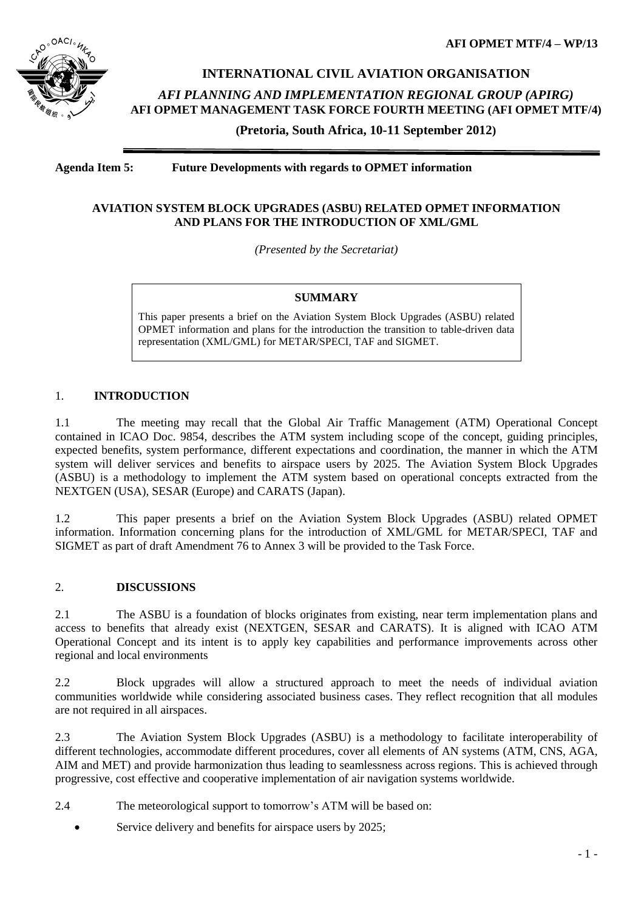

# **INTERNATIONAL CIVIL AVIATION ORGANISATION**

*AFI PLANNING AND IMPLEMENTATION REGIONAL GROUP (APIRG)* **AFI OPMET MANAGEMENT TASK FORCE FOURTH MEETING (AFI OPMET MTF/4)** 

**(Pretoria, South Africa, 10-11 September 2012)**

**Agenda Item 5: Future Developments with regards to OPMET information**

### **AVIATION SYSTEM BLOCK UPGRADES (ASBU) RELATED OPMET INFORMATION AND PLANS FOR THE INTRODUCTION OF XML/GML**

*(Presented by the Secretariat)*

### **SUMMARY**

This paper presents a brief on the Aviation System Block Upgrades (ASBU) related OPMET information and plans for the introduction the transition to table-driven data representation (XML/GML) for METAR/SPECI, TAF and SIGMET.

#### 1. **INTRODUCTION**

1.1 The meeting may recall that the Global Air Traffic Management (ATM) Operational Concept contained in ICAO Doc. 9854, describes the ATM system including scope of the concept, guiding principles, expected benefits, system performance, different expectations and coordination, the manner in which the ATM system will deliver services and benefits to airspace users by 2025. The Aviation System Block Upgrades (ASBU) is a methodology to implement the ATM system based on operational concepts extracted from the NEXTGEN (USA), SESAR (Europe) and CARATS (Japan).

1.2 This paper presents a brief on the Aviation System Block Upgrades (ASBU) related OPMET information. Information concerning plans for the introduction of XML/GML for METAR/SPECI, TAF and SIGMET as part of draft Amendment 76 to Annex 3 will be provided to the Task Force.

### 2. **DISCUSSIONS**

2.1 The ASBU is a foundation of blocks originates from existing, near term implementation plans and access to benefits that already exist (NEXTGEN, SESAR and CARATS). It is aligned with ICAO ATM Operational Concept and its intent is to apply key capabilities and performance improvements across other regional and local environments

2.2 Block upgrades will allow a structured approach to meet the needs of individual aviation communities worldwide while considering associated business cases. They reflect recognition that all modules are not required in all airspaces.

2.3 The Aviation System Block Upgrades (ASBU) is a methodology to facilitate interoperability of different technologies, accommodate different procedures, cover all elements of AN systems (ATM, CNS, AGA, AIM and MET) and provide harmonization thus leading to seamlessness across regions. This is achieved through progressive, cost effective and cooperative implementation of air navigation systems worldwide.

2.4 The meteorological support to tomorrow's ATM will be based on:

Service delivery and benefits for airspace users by 2025;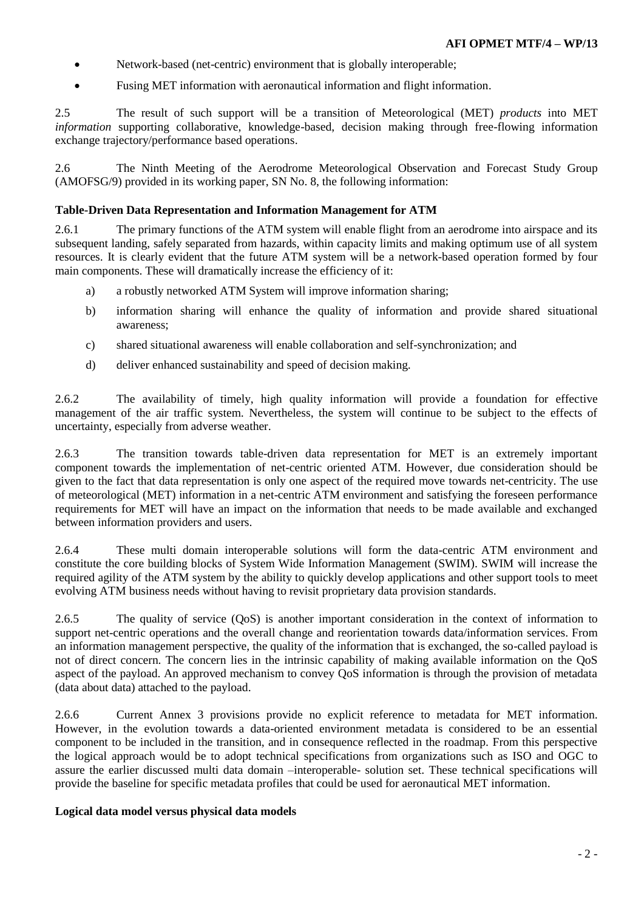- Network-based (net-centric) environment that is globally interoperable;
- Fusing MET information with aeronautical information and flight information.

2.5 The result of such support will be a transition of Meteorological (MET) *products* into MET *information* supporting collaborative, knowledge-based, decision making through free-flowing information exchange trajectory/performance based operations.

2.6 The Ninth Meeting of the Aerodrome Meteorological Observation and Forecast Study Group (AMOFSG/9) provided in its working paper, SN No. 8, the following information:

#### **Table-Driven Data Representation and Information Management for ATM**

2.6.1 The primary functions of the ATM system will enable flight from an aerodrome into airspace and its subsequent landing, safely separated from hazards, within capacity limits and making optimum use of all system resources. It is clearly evident that the future ATM system will be a network-based operation formed by four main components. These will dramatically increase the efficiency of it:

- a) a robustly networked ATM System will improve information sharing;
- b) information sharing will enhance the quality of information and provide shared situational awareness;
- c) shared situational awareness will enable collaboration and self-synchronization; and
- d) deliver enhanced sustainability and speed of decision making.

2.6.2 The availability of timely, high quality information will provide a foundation for effective management of the air traffic system. Nevertheless, the system will continue to be subject to the effects of uncertainty, especially from adverse weather.

2.6.3 The transition towards table-driven data representation for MET is an extremely important component towards the implementation of net-centric oriented ATM. However, due consideration should be given to the fact that data representation is only one aspect of the required move towards net-centricity. The use of meteorological (MET) information in a net-centric ATM environment and satisfying the foreseen performance requirements for MET will have an impact on the information that needs to be made available and exchanged between information providers and users.

2.6.4 These multi domain interoperable solutions will form the data-centric ATM environment and constitute the core building blocks of System Wide Information Management (SWIM). SWIM will increase the required agility of the ATM system by the ability to quickly develop applications and other support tools to meet evolving ATM business needs without having to revisit proprietary data provision standards.

2.6.5 The quality of service (QoS) is another important consideration in the context of information to support net-centric operations and the overall change and reorientation towards data/information services. From an information management perspective, the quality of the information that is exchanged, the so-called payload is not of direct concern. The concern lies in the intrinsic capability of making available information on the QoS aspect of the payload. An approved mechanism to convey QoS information is through the provision of metadata (data about data) attached to the payload.

2.6.6 Current Annex 3 provisions provide no explicit reference to metadata for MET information. However, in the evolution towards a data-oriented environment metadata is considered to be an essential component to be included in the transition, and in consequence reflected in the roadmap. From this perspective the logical approach would be to adopt technical specifications from organizations such as ISO and OGC to assure the earlier discussed multi data domain –interoperable- solution set. These technical specifications will provide the baseline for specific metadata profiles that could be used for aeronautical MET information.

#### **Logical data model versus physical data models**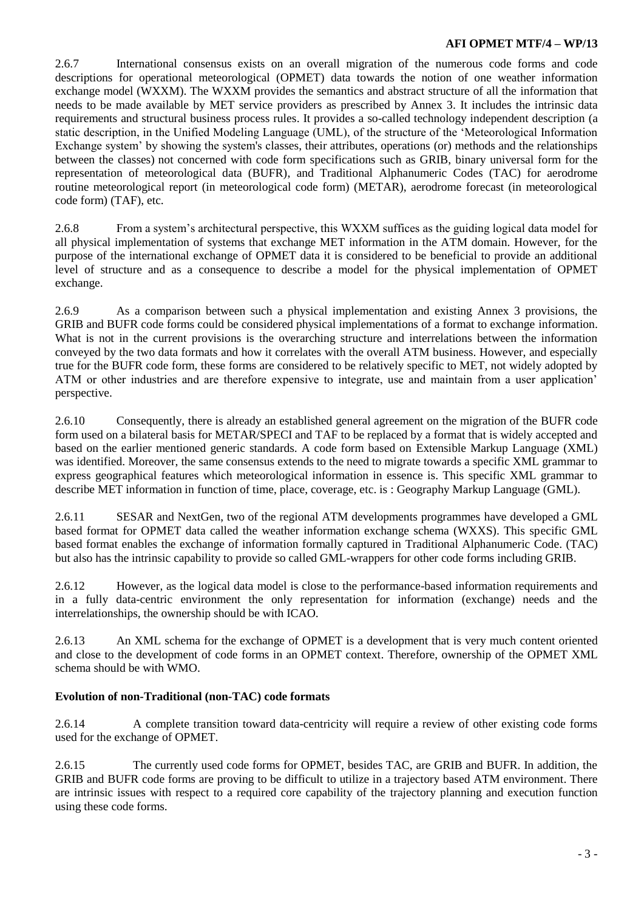2.6.7 International consensus exists on an overall migration of the numerous code forms and code descriptions for operational meteorological (OPMET) data towards the notion of one weather information exchange model (WXXM). The WXXM provides the semantics and abstract structure of all the information that needs to be made available by MET service providers as prescribed by Annex 3. It includes the intrinsic data requirements and structural business process rules. It provides a so-called technology independent description (a static description, in the Unified Modeling Language (UML), of the structure of the 'Meteorological Information Exchange system' by showing the system's classes, their attributes, operations (or) methods and the relationships between the classes) not concerned with code form specifications such as GRIB, binary universal form for the representation of meteorological data (BUFR), and Traditional Alphanumeric Codes (TAC) for aerodrome routine meteorological report (in meteorological code form) (METAR), aerodrome forecast (in meteorological code form) (TAF), etc.

2.6.8 From a system's architectural perspective, this WXXM suffices as the guiding logical data model for all physical implementation of systems that exchange MET information in the ATM domain. However, for the purpose of the international exchange of OPMET data it is considered to be beneficial to provide an additional level of structure and as a consequence to describe a model for the physical implementation of OPMET exchange.

2.6.9 As a comparison between such a physical implementation and existing Annex 3 provisions, the GRIB and BUFR code forms could be considered physical implementations of a format to exchange information. What is not in the current provisions is the overarching structure and interrelations between the information conveyed by the two data formats and how it correlates with the overall ATM business. However, and especially true for the BUFR code form, these forms are considered to be relatively specific to MET, not widely adopted by ATM or other industries and are therefore expensive to integrate, use and maintain from a user application' perspective.

2.6.10 Consequently, there is already an established general agreement on the migration of the BUFR code form used on a bilateral basis for METAR/SPECI and TAF to be replaced by a format that is widely accepted and based on the earlier mentioned generic standards. A code form based on Extensible Markup Language (XML) was identified. Moreover, the same consensus extends to the need to migrate towards a specific XML grammar to express geographical features which meteorological information in essence is. This specific XML grammar to describe MET information in function of time, place, coverage, etc. is : Geography Markup Language (GML).

2.6.11 SESAR and NextGen, two of the regional ATM developments programmes have developed a GML based format for OPMET data called the weather information exchange schema (WXXS). This specific GML based format enables the exchange of information formally captured in Traditional Alphanumeric Code. (TAC) but also has the intrinsic capability to provide so called GML-wrappers for other code forms including GRIB.

2.6.12 However, as the logical data model is close to the performance-based information requirements and in a fully data-centric environment the only representation for information (exchange) needs and the interrelationships, the ownership should be with ICAO.

2.6.13 An XML schema for the exchange of OPMET is a development that is very much content oriented and close to the development of code forms in an OPMET context. Therefore, ownership of the OPMET XML schema should be with WMO.

## **Evolution of non-Traditional (non-TAC) code formats**

2.6.14 A complete transition toward data-centricity will require a review of other existing code forms used for the exchange of OPMET.

2.6.15 The currently used code forms for OPMET, besides TAC, are GRIB and BUFR. In addition, the GRIB and BUFR code forms are proving to be difficult to utilize in a trajectory based ATM environment. There are intrinsic issues with respect to a required core capability of the trajectory planning and execution function using these code forms.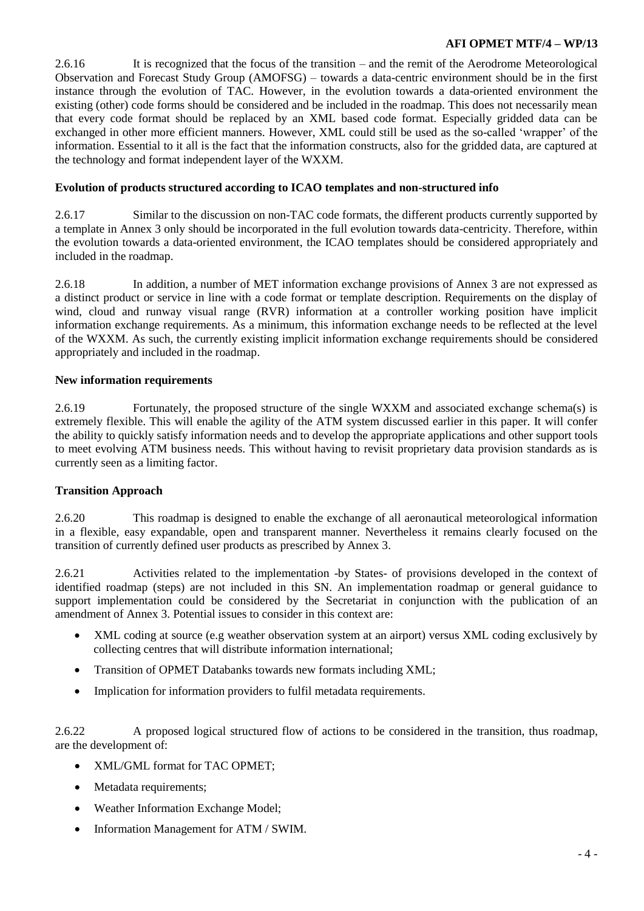2.6.16 It is recognized that the focus of the transition – and the remit of the Aerodrome Meteorological Observation and Forecast Study Group (AMOFSG) – towards a data-centric environment should be in the first instance through the evolution of TAC. However, in the evolution towards a data-oriented environment the existing (other) code forms should be considered and be included in the roadmap. This does not necessarily mean that every code format should be replaced by an XML based code format. Especially gridded data can be exchanged in other more efficient manners. However, XML could still be used as the so-called 'wrapper' of the information. Essential to it all is the fact that the information constructs, also for the gridded data, are captured at the technology and format independent layer of the WXXM.

### **Evolution of products structured according to ICAO templates and non-structured info**

2.6.17 Similar to the discussion on non-TAC code formats, the different products currently supported by a template in Annex 3 only should be incorporated in the full evolution towards data-centricity. Therefore, within the evolution towards a data-oriented environment, the ICAO templates should be considered appropriately and included in the roadmap.

2.6.18 In addition, a number of MET information exchange provisions of Annex 3 are not expressed as a distinct product or service in line with a code format or template description. Requirements on the display of wind, cloud and runway visual range (RVR) information at a controller working position have implicit information exchange requirements. As a minimum, this information exchange needs to be reflected at the level of the WXXM. As such, the currently existing implicit information exchange requirements should be considered appropriately and included in the roadmap.

#### **New information requirements**

2.6.19 Fortunately, the proposed structure of the single WXXM and associated exchange schema(s) is extremely flexible. This will enable the agility of the ATM system discussed earlier in this paper. It will confer the ability to quickly satisfy information needs and to develop the appropriate applications and other support tools to meet evolving ATM business needs. This without having to revisit proprietary data provision standards as is currently seen as a limiting factor.

## **Transition Approach**

2.6.20 This roadmap is designed to enable the exchange of all aeronautical meteorological information in a flexible, easy expandable, open and transparent manner. Nevertheless it remains clearly focused on the transition of currently defined user products as prescribed by Annex 3.

2.6.21 Activities related to the implementation -by States- of provisions developed in the context of identified roadmap (steps) are not included in this SN. An implementation roadmap or general guidance to support implementation could be considered by the Secretariat in conjunction with the publication of an amendment of Annex 3. Potential issues to consider in this context are:

- XML coding at source (e.g weather observation system at an airport) versus XML coding exclusively by collecting centres that will distribute information international;
- Transition of OPMET Databanks towards new formats including XML;
- Implication for information providers to fulfil metadata requirements.

2.6.22 A proposed logical structured flow of actions to be considered in the transition, thus roadmap, are the development of:

- XML/GML format for TAC OPMET;
- Metadata requirements;
- Weather Information Exchange Model;
- Information Management for ATM / SWIM.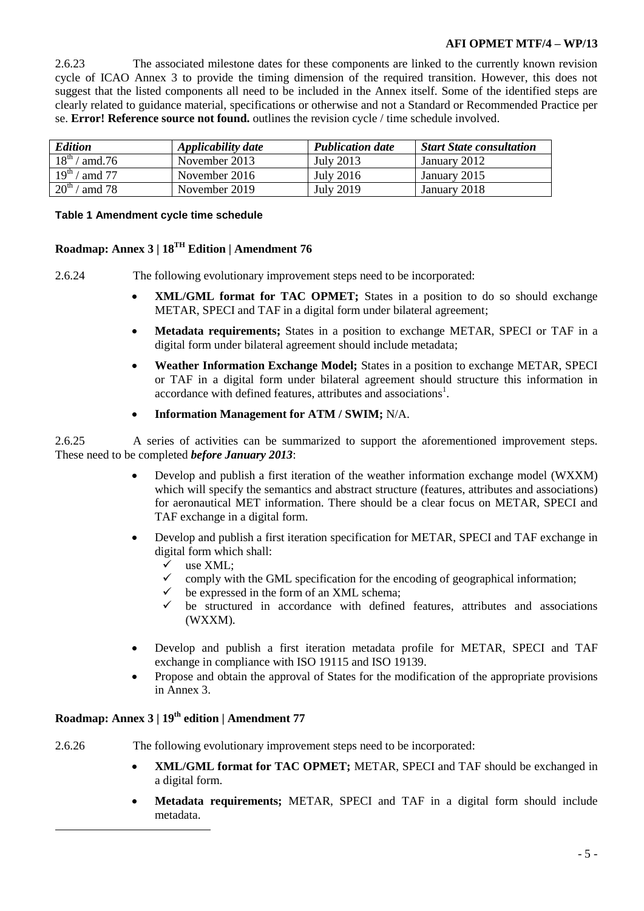2.6.23 The associated milestone dates for these components are linked to the currently known revision cycle of ICAO Annex 3 to provide the timing dimension of the required transition. However, this does not suggest that the listed components all need to be included in the Annex itself. Some of the identified steps are clearly related to guidance material, specifications or otherwise and not a Standard or Recommended Practice per se. **Error! Reference source not found.** outlines the revision cycle / time schedule involved.

| <b>Edition</b>                        | Applicability date | <b>Publication date</b> | <b>Start State consultation</b> |
|---------------------------------------|--------------------|-------------------------|---------------------------------|
| $18^{\rm th}$ /<br>amd. $76$          | November 2013      | July 2013               | January 2012                    |
| $19^{\rm th}$ .<br>amd 77             | November 2016      | <b>July 2016</b>        | January 2015                    |
| $\overline{20}^{\text{th}}$<br>amd 78 | November 2019      | <b>July 2019</b>        | January 2018                    |

#### **Table 1 Amendment cycle time schedule**

# **Roadmap: Annex 3 | 18TH Edition | Amendment 76**

2.6.24 The following evolutionary improvement steps need to be incorporated:

- **XML/GML format for TAC OPMET;** States in a position to do so should exchange METAR, SPECI and TAF in a digital form under bilateral agreement;
- **Metadata requirements;** States in a position to exchange METAR, SPECI or TAF in a digital form under bilateral agreement should include metadata;
- **Weather Information Exchange Model;** States in a position to exchange METAR, SPECI or TAF in a digital form under bilateral agreement should structure this information in accordance with defined features, attributes and associations<sup>1</sup>.
- **Information Management for ATM / SWIM;** N/A.

2.6.25 A series of activities can be summarized to support the aforementioned improvement steps. These need to be completed *before January 2013*:

- Develop and publish a first iteration of the weather information exchange model (WXXM) which will specify the semantics and abstract structure (features, attributes and associations) for aeronautical MET information. There should be a clear focus on METAR, SPECI and TAF exchange in a digital form.
- Develop and publish a first iteration specification for METAR, SPECI and TAF exchange in digital form which shall:
	- $\checkmark$  use XML:
	- $\checkmark$  comply with the GML specification for the encoding of geographical information;
	- be expressed in the form of an XML schema;
	- be structured in accordance with defined features, attributes and associations (WXXM).
- Develop and publish a first iteration metadata profile for METAR, SPECI and TAF exchange in compliance with ISO 19115 and ISO 19139.
- Propose and obtain the approval of States for the modification of the appropriate provisions in Annex 3.

# **Roadmap: Annex 3 | 19th edition | Amendment 77**

-

2.6.26 The following evolutionary improvement steps need to be incorporated:

- **XML/GML format for TAC OPMET;** METAR, SPECI and TAF should be exchanged in a digital form.
- **Metadata requirements;** METAR, SPECI and TAF in a digital form should include metadata.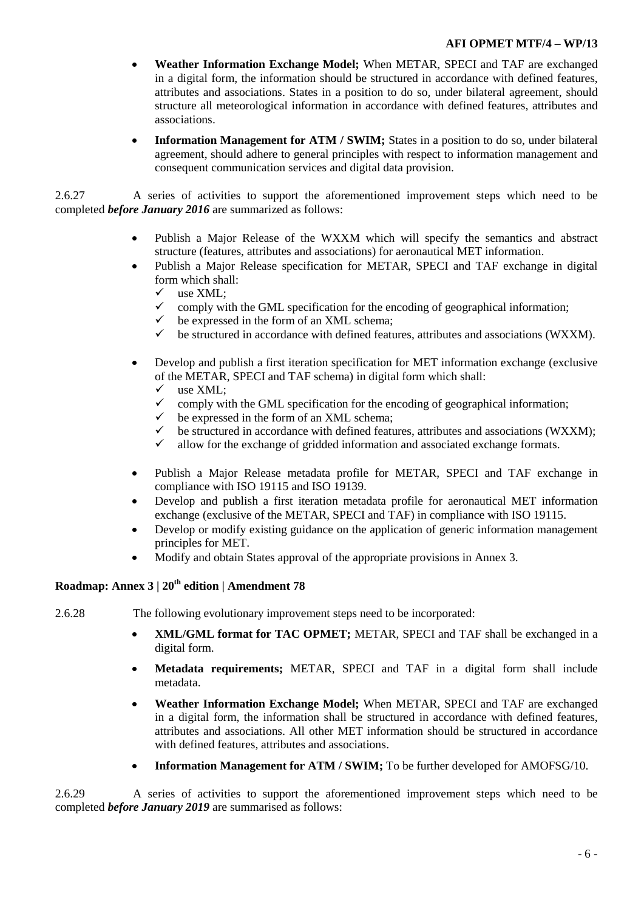- **Weather Information Exchange Model;** When METAR, SPECI and TAF are exchanged in a digital form, the information should be structured in accordance with defined features, attributes and associations. States in a position to do so, under bilateral agreement, should structure all meteorological information in accordance with defined features, attributes and associations.
- **Information Management for ATM / SWIM;** States in a position to do so, under bilateral agreement, should adhere to general principles with respect to information management and consequent communication services and digital data provision.

2.6.27 A series of activities to support the aforementioned improvement steps which need to be completed *before January 2016* are summarized as follows:

- Publish a Major Release of the WXXM which will specify the semantics and abstract structure (features, attributes and associations) for aeronautical MET information.
- Publish a Major Release specification for METAR, SPECI and TAF exchange in digital form which shall:
	- $\checkmark$  use XML:
	- comply with the GML specification for the encoding of geographical information;<br>be expressed in the form of an XMI schema:
	- be expressed in the form of an XML schema;
	- $\checkmark$  be structured in accordance with defined features, attributes and associations (WXXM).
- Develop and publish a first iteration specification for MET information exchange (exclusive of the METAR, SPECI and TAF schema) in digital form which shall:
	- $\checkmark$  use XML;
	- $\checkmark$  comply with the GML specification for the encoding of geographical information;
	- $\checkmark$  be expressed in the form of an XML schema;<br> $\checkmark$  be structured in accordance with defined featured
	- be structured in accordance with defined features, attributes and associations (WXXM);
	- $\checkmark$  allow for the exchange of gridded information and associated exchange formats.
- Publish a Major Release metadata profile for METAR, SPECI and TAF exchange in compliance with ISO 19115 and ISO 19139.
- Develop and publish a first iteration metadata profile for aeronautical MET information exchange (exclusive of the METAR, SPECI and TAF) in compliance with ISO 19115.
- Develop or modify existing guidance on the application of generic information management principles for MET.
- Modify and obtain States approval of the appropriate provisions in Annex 3.

# **Roadmap: Annex 3 | 20th edition | Amendment 78**

2.6.28 The following evolutionary improvement steps need to be incorporated:

- **XML/GML format for TAC OPMET;** METAR, SPECI and TAF shall be exchanged in a digital form.
- **Metadata requirements;** METAR, SPECI and TAF in a digital form shall include metadata.
- **Weather Information Exchange Model;** When METAR, SPECI and TAF are exchanged in a digital form, the information shall be structured in accordance with defined features, attributes and associations. All other MET information should be structured in accordance with defined features, attributes and associations.
- **Information Management for ATM / SWIM;** To be further developed for AMOFSG/10.

2.6.29 A series of activities to support the aforementioned improvement steps which need to be completed *before January 2019* are summarised as follows: